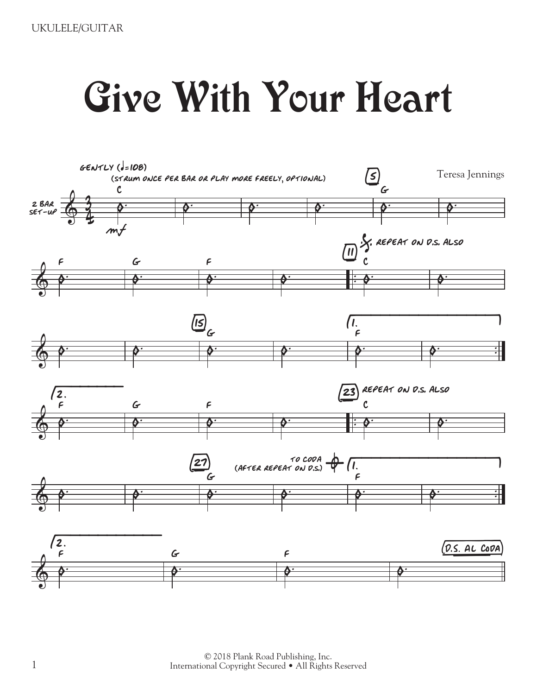## Give With Your Heart